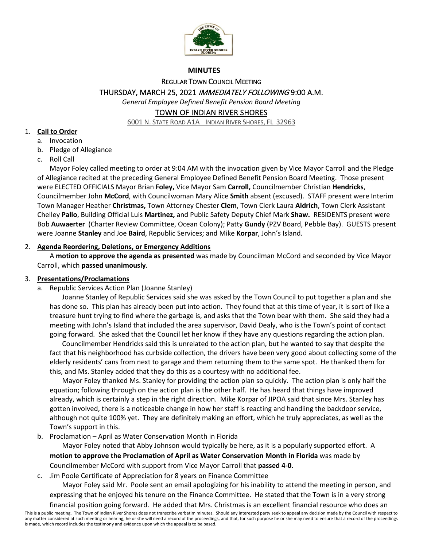

## **MINUTES**

REGULAR TOWN COUNCIL MEETING

THURSDAY, MARCH 25, 2021 IMMEDIATELY FOLLOWING 9:00 A.M.

*General Employee Defined Benefit Pension Board Meeting* 

# TOWN OF INDIAN RIVER SHORES

6001 N. STATE ROAD A1A INDIAN RIVER SHORES, FL 32963

# 1. **Call to Order**

- a. Invocation
- b. Pledge of Allegiance
- c. Roll Call

 Mayor Foley called meeting to order at 9:04 AM with the invocation given by Vice Mayor Carroll and the Pledge were ELECTED OFFICIALS Mayor Brian **Foley,** Vice Mayor Sam **Carroll,** Councilmember Christian **Hendricks**, Councilmember John **McCord**, with Councilwoman Mary Alice **Smith** absent (excused). STAFF present were Interim  Chelley **Pallo**, Building Official Luis **Martinez,** and Public Safety Deputy Chief Mark **Shaw.** RESIDENTS present were Bob **Auwaerter** (Charter Review Committee, Ocean Colony); Patty **Gundy** (PZV Board, Pebble Bay). GUESTS present of Allegiance recited at the preceding General Employee Defined Benefit Pension Board Meeting. Those present Town Manager Heather **Christmas,** Town Attorney Chester **Clem**, Town Clerk Laura **Aldrich**, Town Clerk Assistant were Joanne **Stanley** and Joe **Baird**, Republic Services; and Mike **Korpar**, John's Island.

# 2. **Agenda Reordering, Deletions, or Emergency Additions**

A **motion to approve the agenda as presented** was made by Councilman McCord and seconded by Vice Mayor Carroll, which **passed unanimously**.

# 3. **Presentations/Proclamations**

a. Republic Services Action Plan (Joanne Stanley)

 Joanne Stanley of Republic Services said she was asked by the Town Council to put together a plan and she has done so. This plan has already been put into action. They found that at this time of year, it is sort of like a treasure hunt trying to find where the garbage is, and asks that the Town bear with them. She said they had a meeting with John's Island that included the area supervisor, David Dealy, who is the Town's point of contact going forward. She asked that the Council let her know if they have any questions regarding the action plan.

 Councilmember Hendricks said this is unrelated to the action plan, but he wanted to say that despite the elderly residents' cans from next to garage and them returning them to the same spot. He thanked them for this, and Ms. Stanley added that they do this as a courtesy with no additional fee. fact that his neighborhood has curbside collection, the drivers have been very good about collecting some of the

 equation; following through on the action plan is the other half. He has heard that things have improved already, which is certainly a step in the right direction. Mike Korpar of JIPOA said that since Mrs. Stanley has gotten involved, there is a noticeable change in how her staff is reacting and handling the backdoor service, Town's support in this. Mayor Foley thanked Ms. Stanley for providing the action plan so quickly. The action plan is only half the although not quite 100% yet. They are definitely making an effort, which he truly appreciates, as well as the

Town's support in this. b. Proclamation – April as Water Conservation Month in Florida

 Mayor Foley noted that Abby Johnson would typically be here, as it is a popularly supported effort. A **motion to approve the Proclamation of April as Water Conservation Month in Florida** was made by

Councilmember McCord with support from Vice Mayor Carroll that **passed 4-0**.

c. Jim Poole Certificate of Appreciation for 8 years on Finance Committee

 Mayor Foley said Mr. Poole sent an email apologizing for his inability to attend the meeting in person, and expressing that he enjoyed his tenure on the Finance Committee. He stated that the Town is in a very strong

financial position going forward. He added that Mrs. Christmas is an excellent financial resource who does an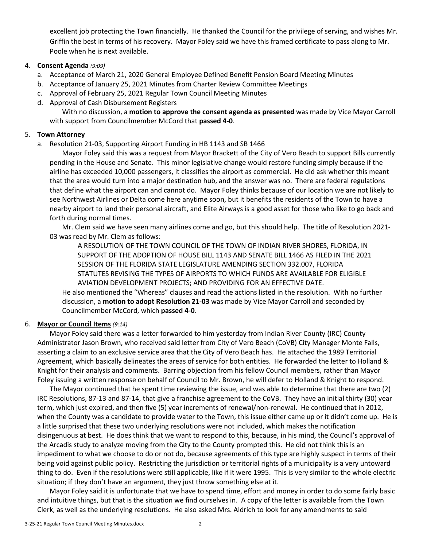Griffin the best in terms of his recovery. Mayor Foley said we have this framed certificate to pass along to Mr. excellent job protecting the Town financially. He thanked the Council for the privilege of serving, and wishes Mr. Poole when he is next available.

## 4. **Consent Agenda** *(9:09)*

- a. Acceptance of March 21, 2020 General Employee Defined Benefit Pension Board Meeting Minutes
- b. Acceptance of January 25, 2021 Minutes from Charter Review Committee Meetings
- c. Approval of February 25, 2021 Regular Town Council Meeting Minutes
- d. Approval of Cash Disbursement Registers

 with support from Councilmember McCord that **passed 4-0**. With no discussion, a **motion to approve the consent agenda as presented** was made by Vice Mayor Carroll

## 5. **Town Attorney**

a. Resolution 21-03, Supporting Airport Funding in HB 1143 and SB 1466

 Mayor Foley said this was a request from Mayor Brackett of the City of Vero Beach to support Bills currently pending in the House and Senate. This minor legislative change would restore funding simply because if the airline has exceeded 10,000 passengers, it classifies the airport as commercial. He did ask whether this meant that the area would turn into a major destination hub, and the answer was no. There are federal regulations that define what the airport can and cannot do. Mayor Foley thinks because of our location we are not likely to see Northwest Airlines or Delta come here anytime soon, but it benefits the residents of the Town to have a nearby airport to land their personal aircraft, and Elite Airways is a good asset for those who like to go back and forth during normal times.

 Mr. Clem said we have seen many airlines come and go, but this should help. The title of Resolution 2021- 03 was read by Mr. Clem as follows:

A RESOLUTION OF THE TOWN COUNCIL OF THE TOWN OF INDIAN RIVER SHORES, FLORIDA, IN SUPPORT OF THE ADOPTION OF HOUSE BILL 1143 AND SENATE BILL 1466 AS FILED IN THE 2021 SESSION OF THE FLORIDA STATE LEGISLATURE AMENDING SECTION 332.007, FLORIDA STATUTES REVISING THE TYPES OF AIRPORTS TO WHICH FUNDS ARE AVAILABLE FOR ELIGIBLE AVIATION DEVELOPMENT PROJECTS; AND PROVIDING FOR AN EFFECTIVE DATE.

 He also mentioned the "Whereas" clauses and read the actions listed in the resolution. With no further discussion, a **motion to adopt Resolution 21-03** was made by Vice Mayor Carroll and seconded by Councilmember McCord, which **passed 4-0**.

## 6. **Mayor or Council Items** *(9:14)*

 asserting a claim to an exclusive service area that the City of Vero Beach has. He attached the 1989 Territorial Agreement, which basically delineates the areas of service for both entities. He forwarded the letter to Holland & Foley issuing a written response on behalf of Council to Mr. Brown, he will defer to Holland & Knight to respond. Mayor Foley said there was a letter forwarded to him yesterday from Indian River County (IRC) County Administrator Jason Brown, who received said letter from City of Vero Beach (CoVB) City Manager Monte Falls, Knight for their analysis and comments. Barring objection from his fellow Council members, rather than Mayor

 The Mayor continued that he spent time reviewing the issue, and was able to determine that there are two (2) when the County was a candidate to provide water to the Town, this issue either came up or it didn't come up. He is a little surprised that these two underlying resolutions were not included, which makes the notification the Arcadis study to analyze moving from the City to the County prompted this. He did not think this is an being void against public policy. Restricting the jurisdiction or territorial rights of a municipality is a very untoward thing to do. Even if the resolutions were still applicable, like if it were 1995. This is very similar to the whole electric situation; if they don't have an argument, they just throw something else at it. IRC Resolutions, 87-13 and 87-14, that give a franchise agreement to the CoVB. They have an initial thirty (30) year term, which just expired, and then five (5) year increments of renewal/non-renewal. He continued that in 2012, disingenuous at best. He does think that we want to respond to this, because, in his mind, the Council's approval of impediment to what we choose to do or not do, because agreements of this type are highly suspect in terms of their

situation; if they don't have an argument, they just throw something else at it.<br>Mayor Foley said it is unfortunate that we have to spend time, effort and money in order to do some fairly basic and intuitive things, but that is the situation we find ourselves in. A copy of the letter is available from the Town Clerk, as well as the underlying resolutions. He also asked Mrs. Aldrich to look for any amendments to said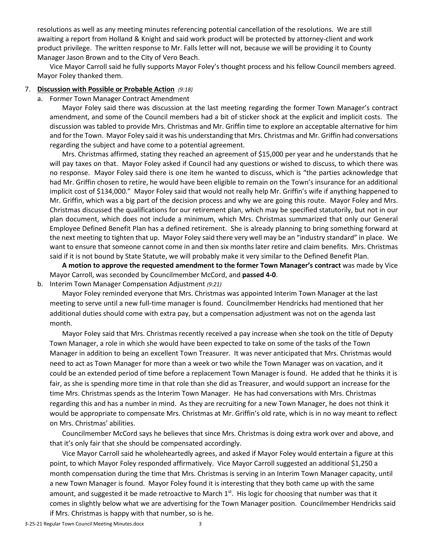resolutions as well as any meeting minutes referencing potential cancellation of the resolutions. We are still product privilege. The written response to Mr. Falls letter will not, because we will be providing it to County Manager Jason Brown and to the City of Vero Beach. awaiting a report from Holland & Knight and said work product will be protected by attorney-client and work

Vice Mayor Carroll said he fully supports Mayor Foley's thought process and his fellow Council members agreed. Mayor Foley thanked them.

#### 7. **Discussion with Possible or Probable Action** *(9:18)*

a. Former Town Manager Contract Amendment

 Mayor Foley said there was discussion at the last meeting regarding the former Town Manager's contract amendment, and some of the Council members had a bit of sticker shock at the explicit and implicit costs. The discussion was tabled to provide Mrs. Christmas and Mr. Griffin time to explore an acceptable alternative for him regarding the subject and have come to a potential agreement. and for the Town. Mayor Foley said it was his understanding that Mrs. Christmas and Mr. Griffin had conversations

 regarding the subject and have come to a potential agreement. Mrs. Christmas affirmed, stating they reached an agreement of \$15,000 per year and he understands that he will pay taxes on that. Mayor Foley asked if Council had any questions or wished to discuss, to which there was implicit cost of \$134,000." Mayor Foley said that would not really help Mr. Griffin's wife if anything happened to Mr. Griffin, which was a big part of the decision process and why we are going this route. Mayor Foley and Mrs. Christmas discussed the qualifications for our retirement plan, which may be specified statutorily, but not in our Employee Defined Benefit Plan has a defined retirement. She is already planning to bring something forward at the next meeting to tighten that up. Mayor Foley said there very well may be an "industry standard" in place. We want to ensure that someone cannot come in and then six months later retire and claim benefits. Mrs. Christmas said if it is not bound by State Statute, we will probably make it very similar to the Defined Benefit Plan. no response. Mayor Foley said there is one item he wanted to discuss, which is "the parties acknowledge that had Mr. Griffin chosen to retire, he would have been eligible to remain on the Town's insurance for an additional plan document, which does not include a minimum, which Mrs. Christmas summarized that only our General

 Mayor Carroll, was seconded by Councilmember McCord, and **passed 4-0**. **A motion to approve the requested amendment to the former Town Manager's contract** was made by Vice

b. Interim Town Manager Compensation Adjustment *(9:21)* 

 Mayor Foley reminded everyone that Mrs. Christmas was appointed Interim Town Manager at the last meeting to serve until a new full-time manager is found. Councilmember Hendricks had mentioned that her additional duties should come with extra pay, but a compensation adjustment was not on the agenda last month.

 Mayor Foley said that Mrs. Christmas recently received a pay increase when she took on the title of Deputy Town Manager, a role in which she would have been expected to take on some of the tasks of the Town Manager in addition to being an excellent Town Treasurer. It was never anticipated that Mrs. Christmas would need to act as Town Manager for more than a week or two while the Town Manager was on vacation, and it could be an extended period of time before a replacement Town Manager is found. He added that he thinks it is fair, as she is spending more time in that role than she did as Treasurer, and would support an increase for the time Mrs. Christmas spends as the Interim Town Manager. He has had conversations with Mrs. Christmas regarding this and has a number in mind. As they are recruiting for a new Town Manager, he does not think it would be appropriate to compensate Mrs. Christmas at Mr. Griffin's old rate, which is in no way meant to reflect on Mrs. Christmas' abilities.

on Mrs. Christmas' abilities.<br>Councilmember McCord says he believes that since Mrs. Christmas is doing extra work over and above, and that it's only fair that she should be compensated accordingly.

 point, to which Mayor Foley responded affirmatively. Vice Mayor Carroll suggested an additional \$1,250 a a new Town Manager is found. Mayor Foley found it is interesting that they both came up with the same amount, and suggested it be made retroactive to March 1<sup>st</sup>. His logic for choosing that number was that it comes in slightly below what we are advertising for the Town Manager position. Councilmember Hendricks said if Mrs. Christmas is happy with that number, so is he. Vice Mayor Carroll said he wholeheartedly agrees, and asked if Mayor Foley would entertain a figure at this month compensation during the time that Mrs. Christmas is serving in an Interim Town Manager capacity, until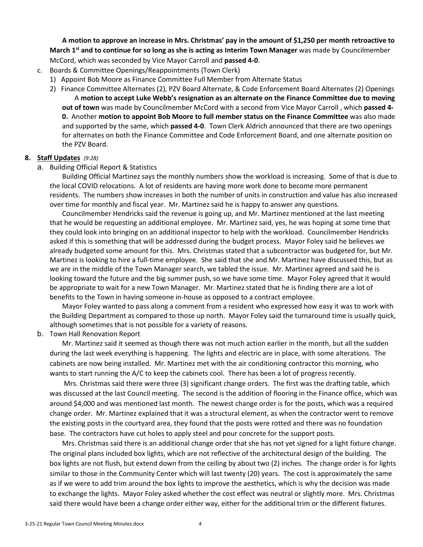**A motion to approve an increase in Mrs. Christmas' pay in the amount of \$1,250 per month retroactive to**  March 1<sup>st</sup> and to continue for so long as she is acting as Interim Town Manager was made by Councilmember McCord, which was seconded by Vice Mayor Carroll and **passed 4-0**.

- c. Boards & Committee Openings/Reappointments (Town Clerk)
	- 1) Appoint Bob Moore as Finance Committee Full Member from Alternate Status
	- 2) Finance Committee Alternates (2), PZV Board Alternate, & Code Enforcement Board Alternates (2) Openings **out of town** was made by Councilmember McCord with a second from Vice Mayor Carroll , which **passed 4- 0.** Another **motion to appoint Bob Moore to full member status on the Finance Committee** was also made and supported by the same, which **passed 4-0**. Town Clerk Aldrich announced that there are two openings for alternates on both the Finance Committee and Code Enforcement Board, and one alternate position on A **motion to accept Luke Webb's resignation as an alternate on the Finance Committee due to moving**  the PZV Board.

## **8. Staff Updates** *(9:28)*

### a. Building Official Report & Statistics

 the local COVID relocations. A lot of residents are having more work done to become more permanent residents. The numbers show increases in both the number of units in construction and value has also increased over time for monthly and fiscal year. Mr. Martinez said he is happy to answer any questions. Building Official Martinez says the monthly numbers show the workload is increasing. Some of that is due to

 Councilmember Hendricks said the revenue is going up, and Mr. Martinez mentioned at the last meeting that he would be requesting an additional employee. Mr. Martinez said, yes, he was hoping at some time that asked if this is something that will be addressed during the budget process. Mayor Foley said he believes we already budgeted some amount for this. Mrs. Christmas stated that a subcontractor was budgeted for, but Mr. Martinez is looking to hire a full-time employee. She said that she and Mr. Martinez have discussed this, but as we are in the middle of the Town Manager search, we tabled the issue. Mr. Martinez agreed and said he is looking toward the future and the big summer push, so we have some time. Mayor Foley agreed that it would be appropriate to wait for a new Town Manager. Mr. Martinez stated that he is finding there are a lot of they could look into bringing on an additional inspector to help with the workload. Councilmember Hendricks benefits to the Town in having someone in-house as opposed to a contract employee.

 Mayor Foley wanted to pass along a comment from a resident who expressed how easy it was to work with the Building Department as compared to those up north. Mayor Foley said the turnaround time is usually quick, although sometimes that is not possible for a variety of reasons.

### b. Town Hall Renovation Report

 Mr. Martinez said it seemed as though there was not much action earlier in the month, but all the sudden during the last week everything is happening. The lights and electric are in place, with some alterations. The cabinets are now being installed. Mr. Martinez met with the air conditioning contractor this morning, who wants to start running the A/C to keep the cabinets cool. There has been a lot of progress recently.

 was discussed at the last Council meeting. The second is the addition of flooring in the Finance office, which was around \$4,000 and was mentioned last month. The newest change order is for the posts, which was a required base. The contractors have cut holes to apply steel and pour concrete for the support posts. Mrs. Christmas said there were three (3) significant change orders. The first was the drafting table, which change order. Mr. Martinez explained that it was a structural element, as when the contractor went to remove the existing posts in the courtyard area, they found that the posts were rotted and there was no foundation

 base. The contractors have cut holes to apply steel and pour concrete for the support posts. Mrs. Christmas said there is an additional change order that she has not yet signed for a light fixture change. to exchange the lights. Mayor Foley asked whether the cost effect was neutral or slightly more. Mrs. Christmas said there would have been a change order either way, either for the additional trim or the different fixtures. The original plans included box lights, which are not reflective of the architectural design of the building. The box lights are not flush, but extend down from the ceiling by about two (2) inches. The change order is for lights similar to those in the Community Center which will last twenty (20) years. The cost is approximately the same as if we were to add trim around the box lights to improve the aesthetics, which is why the decision was made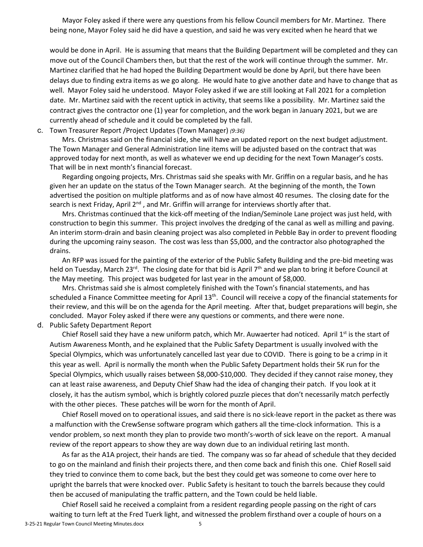Mayor Foley asked if there were any questions from his fellow Council members for Mr. Martinez. There being none, Mayor Foley said he did have a question, and said he was very excited when he heard that we

 move out of the Council Chambers then, but that the rest of the work will continue through the summer. Mr. delays due to finding extra items as we go along. He would hate to give another date and have to change that as well. Mayor Foley said he understood. Mayor Foley asked if we are still looking at Fall 2021 for a completion date. Mr. Martinez said with the recent uptick in activity, that seems like a possibility. Mr. Martinez said the contract gives the contractor one (1) year for completion, and the work began in January 2021, but we are currently ahead of schedule and it could be completed by the fall. would be done in April. He is assuming that means that the Building Department will be completed and they can Martinez clarified that he had hoped the Building Department would be done by April, but there have been

## c. Town Treasurer Report /Project Updates (Town Manager) *(9:36)*

 Mrs. Christmas said on the financial side, she will have an updated report on the next budget adjustment. approved today for next month, as well as whatever we end up deciding for the next Town Manager's costs. The Town Manager and General Administration line items will be adjusted based on the contract that was That will be in next month's financial forecast.

 Regarding ongoing projects, Mrs. Christmas said she speaks with Mr. Griffin on a regular basis, and he has given her an update on the status of the Town Manager search. At the beginning of the month, the Town advertised the position on multiple platforms and as of now have almost 40 resumes. The closing date for the search is next Friday, April 2<sup>nd</sup>, and Mr. Griffin will arrange for interviews shortly after that.

 Mrs. Christmas continued that the kick-off meeting of the Indian/Seminole Lane project was just held, with construction to begin this summer. This project involves the dredging of the canal as well as milling and paving. during the upcoming rainy season. The cost was less than \$5,000, and the contractor also photographed the drains. An interim storm-drain and basin cleaning project was also completed in Pebble Bay in order to prevent flooding

drains.<br>An RFP was issued for the painting of the exterior of the Public Safety Building and the pre-bid meeting was held on Tuesday, March 23<sup>rd</sup>. The closing date for that bid is April 7<sup>th</sup> and we plan to bring it before Council at the May meeting. This project was budgeted for last year in the amount of \$8,000.

 their review, and this will be on the agenda for the April meeting. After that, budget preparations will begin, she concluded. Mayor Foley asked if there were any questions or comments, and there were none. Mrs. Christmas said she is almost completely finished with the Town's financial statements, and has scheduled a Finance Committee meeting for April 13<sup>th</sup>. Council will receive a copy of the financial statements for

### d. Public Safety Department Report

 Autism Awareness Month, and he explained that the Public Safety Department is usually involved with the Special Olympics, which was unfortunately cancelled last year due to COVID. There is going to be a crimp in it this year as well. April is normally the month when the Public Safety Department holds their 5K run for the Special Olympics, which usually raises between \$8,000-\$10,000. They decided if they cannot raise money, they with the other pieces. These patches will be worn for the month of April. Chief Rosell said they have a new uniform patch, which Mr. Auwaerter had noticed. April  $1<sup>st</sup>$  is the start of can at least raise awareness, and Deputy Chief Shaw had the idea of changing their patch. If you look at it closely, it has the autism symbol, which is brightly colored puzzle pieces that don't necessarily match perfectly

 Chief Rosell moved on to operational issues, and said there is no sick-leave report in the packet as there was a malfunction with the CrewSense software program which gathers all the time-clock information. This is a vendor problem, so next month they plan to provide two month's-worth of sick leave on the report. A manual review of the report appears to show they are way down due to an individual retiring last month.

review of the report appears to show they are way down due to an individual retiring last month.<br>As far as the A1A project, their hands are tied. The company was so far ahead of schedule that they decided to go on the mainland and finish their projects there, and then come back and finish this one. Chief Rosell said they tried to convince them to come back, but the best they could get was someone to come over here to then be accused of manipulating the traffic pattern, and the Town could be held liable. upright the barrels that were knocked over. Public Safety is hesitant to touch the barrels because they could

 Chief Rosell said he received a complaint from a resident regarding people passing on the right of cars waiting to turn left at the Fred Tuerk light, and witnessed the problem firsthand over a couple of hours on a 3-25-21 Regular Town Council Meeting Minutes.docx 5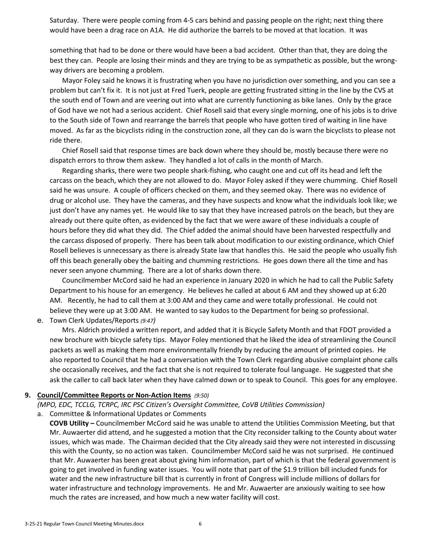would have been a drag race on A1A. He did authorize the barrels to be moved at that location. It was Saturday. There were people coming from 4-5 cars behind and passing people on the right; next thing there

 something that had to be done or there would have been a bad accident. Other than that, they are doing the best they can. People are losing their minds and they are trying to be as sympathetic as possible, but the wrongway drivers are becoming a problem.

 the south end of Town and are veering out into what are currently functioning as bike lanes. Only by the grace of God have we not had a serious accident. Chief Rosell said that every single morning, one of his jobs is to drive moved. As far as the bicyclists riding in the construction zone, all they can do is warn the bicyclists to please not ride there. Mayor Foley said he knows it is frustrating when you have no jurisdiction over something, and you can see a problem but can't fix it. It is not just at Fred Tuerk, people are getting frustrated sitting in the line by the CVS at to the South side of Town and rearrange the barrels that people who have gotten tired of waiting in line have

 dispatch errors to throw them askew. They handled a lot of calls in the month of March. Chief Rosell said that response times are back down where they should be, mostly because there were no

 Regarding sharks, there were two people shark-fishing, who caught one and cut off its head and left the carcass on the beach, which they are not allowed to do. Mayor Foley asked if they were chumming. Chief Rosell said he was unsure. A couple of officers checked on them, and they seemed okay. There was no evidence of drug or alcohol use. They have the cameras, and they have suspects and know what the individuals look like; we just don't have any names yet. He would like to say that they have increased patrols on the beach, but they are already out there quite often, as evidenced by the fact that we were aware of these individuals a couple of hours before they did what they did. The Chief added the animal should have been harvested respectfully and the carcass disposed of properly. There has been talk about modification to our existing ordinance, which Chief never seen anyone chumming. There are a lot of sharks down there. Rosell believes is unnecessary as there is already State law that handles this. He said the people who usually fish off this beach generally obey the baiting and chumming restrictions. He goes down there all the time and has

 believe they were up at 3:00 AM. He wanted to say kudos to the Department for being so professional. Councilmember McCord said he had an experience in January 2020 in which he had to call the Public Safety Department to his house for an emergency. He believes he called at about 6 AM and they showed up at 6:20 AM. Recently, he had to call them at 3:00 AM and they came and were totally professional. He could not

e. Town Clerk Updates/Reports *(9:47)* 

 new brochure with bicycle safety tips. Mayor Foley mentioned that he liked the idea of streamlining the Council packets as well as making them more environmentally friendly by reducing the amount of printed copies. He Mrs. Aldrich provided a written report, and added that it is Bicycle Safety Month and that FDOT provided a also reported to Council that he had a conversation with the Town Clerk regarding abusive complaint phone calls she occasionally receives, and the fact that she is not required to tolerate foul language. He suggested that she ask the caller to call back later when they have calmed down or to speak to Council. This goes for any employee.

### **9. Council/Committee Reports or Non-Action Items** *(9:50)*

 *(MPO, EDC, TCCLG, TCRPC, IRC PSC Citizen's Oversight Committee, CoVB Utilities Commission)* 

a. Committee & Informational Updates or Comments

 **COVB Utility –** Councilmember McCord said he was unable to attend the Utilities Commission Meeting, but that Mr. Auwaerter did attend, and he suggested a motion that the City reconsider talking to the County about water this with the County, so no action was taken. Councilmember McCord said he was not surprised. He continued going to get involved in funding water issues. You will note that part of the \$1.9 trillion bill included funds for water and the new infrastructure bill that is currently in front of Congress will include millions of dollars for water infrastructure and technology improvements. He and Mr. Auwaerter are anxiously waiting to see how much the rates are increased, and how much a new water facility will cost. issues, which was made. The Chairman decided that the City already said they were not interested in discussing that Mr. Auwaerter has been great about giving him information, part of which is that the federal government is